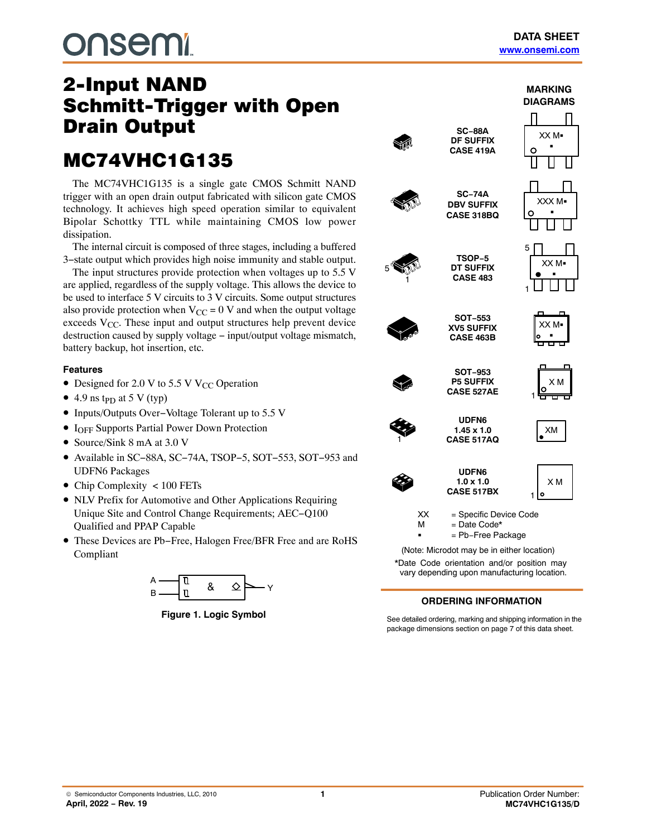# **DUSEMI**

## 2-Input NAND<br>Schmitt-Trigger with Open **Drain Output**

## Drain Output **MC74VHC1G135**

The MC74VHC1G135 is a single gate CMOS Schmitt NAND trigger with an open drain output fabricated with silicon gate CMOS technology. It achieves high speed operation similar to equivalent Bipolar Schottky TTL while maintaining CMOS low power dissipation.

The internal circuit is composed of three stages, including a buffered 3−state output which provides high noise immunity and stable output.

The input structures provide protection when voltages up to 5.5 V are applied, regardless of the supply voltage. This allows the device to be used to interface 5 V circuits to 3 V circuits. Some output structures also provide protection when  $V_{CC} = 0$  V and when the output voltage exceeds  $V_{CC}$ . These input and output structures help prevent device destruction caused by supply voltage − input/output voltage mismatch, battery backup, hot insertion, etc.

#### **Features**

- Designed for 2.0 V to 5.5 V V<sub>CC</sub> Operation
- 4.9 ns t<sub>PD</sub> at 5 V (typ)
- Inputs/Outputs Over−Voltage Tolerant up to 5.5 V
- IOFF Supports Partial Power Down Protection
- Source/Sink 8 mA at 3.0 V
- Available in SC−88A, SC−74A, TSOP−5, SOT−553, SOT−953 and UDFN6 Packages
- Chip Complexity < 100 FETs
- NLV Prefix for Automotive and Other Applications Requiring Unique Site and Control Change Requirements; AEC−Q100 Qualified and PPAP Capable
- These Devices are Pb−Free, Halogen Free/BFR Free and are RoHS Compliant



**Figure 1. Logic Symbol**





See detailed ordering, marking and shipping information in the package dimensions section on page [7](#page-6-0) of this data sheet.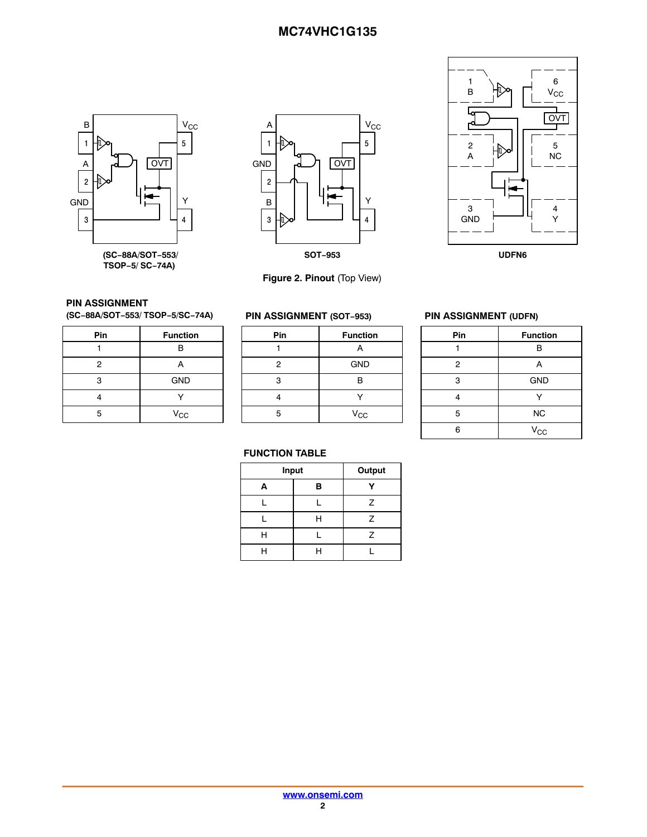





**PIN ASSIGNMENT (SC−88A/SOT−553/ TSOP−5/SC−74A)**

| Pin            | <b>Function</b> |
|----------------|-----------------|
|                | R               |
| $\overline{2}$ |                 |
| 3              | <b>GND</b>      |
|                |                 |
| ᄃ              | $V_{CC}$        |

#### **PIN ASSIGNMENT (SOT−953)**

**Figure 2. Pinout** (Top View)

| Pin | <b>Function</b> |  |  |
|-----|-----------------|--|--|
|     |                 |  |  |
| 2   | <b>GND</b>      |  |  |
| 3   | R               |  |  |
|     |                 |  |  |
| 5   | $V_{\rm CC}$    |  |  |

#### **PIN ASSIGNMENT (UDFN)**

| Pin            | <b>Function</b> |
|----------------|-----------------|
|                | B               |
| $\overline{2}$ | Α               |
| 3              | <b>GND</b>      |
|                |                 |
| 5              | <b>NC</b>       |
| 6              | $V_{\rm CC}$    |

#### **FUNCTION TABLE**

| Input | Output |   |
|-------|--------|---|
| A     | в      |   |
|       |        | Z |
|       | Н      | Z |
| н     |        | Z |
| ц     |        |   |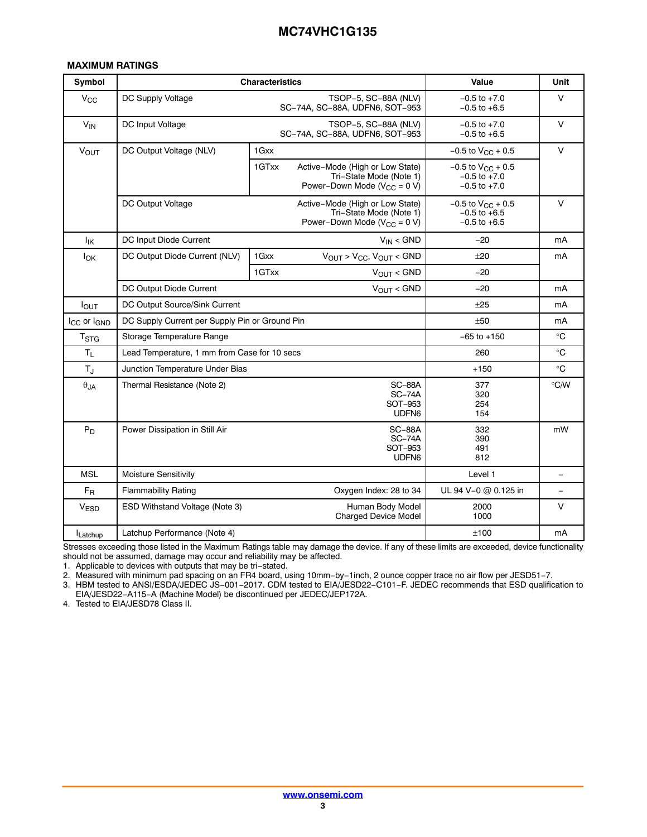#### **MAXIMUM RATINGS**

| Symbol                              |                                                | <b>Characteristics</b>                                                                                    | <b>Value</b>                                                     | Unit     |
|-------------------------------------|------------------------------------------------|-----------------------------------------------------------------------------------------------------------|------------------------------------------------------------------|----------|
| $V_{\rm CC}$                        | DC Supply Voltage                              | TSOP-5, SC-88A (NLV)<br>SC-74A, SC-88A, UDFN6, SOT-953                                                    | $-0.5$ to $+7.0$<br>$-0.5$ to $+6.5$                             | $\vee$   |
| $V_{IN}$                            | DC Input Voltage                               | TSOP-5, SC-88A (NLV)<br>SC-74A, SC-88A, UDFN6, SOT-953                                                    | $-0.5$ to $+7.0$<br>$-0.5$ to $+6.5$                             | $\vee$   |
| VOUT                                | DC Output Voltage (NLV)                        | 1 Gxx                                                                                                     | $-0.5$ to $V_{CC}$ + 0.5                                         | $\vee$   |
|                                     |                                                | 1GTxx<br>Active-Mode (High or Low State)<br>Tri-State Mode (Note 1)<br>Power-Down Mode ( $V_{CC} = 0 V$ ) | $-0.5$ to $V_{CC}$ + 0.5<br>$-0.5$ to $+7.0$<br>$-0.5$ to $+7.0$ |          |
|                                     | DC Output Voltage                              | Active-Mode (High or Low State)<br>Tri-State Mode (Note 1)<br>Power-Down Mode ( $V_{CC} = 0 V$ )          | $-0.5$ to $V_{CC}$ + 0.5<br>$-0.5$ to $+6.5$<br>$-0.5$ to $+6.5$ | $\vee$   |
| lικ                                 | DC Input Diode Current                         | $V_{IN} <$ GND                                                                                            | $-20$                                                            | mA       |
| $I_{OK}$                            | DC Output Diode Current (NLV)                  | $V_{OUT}$ > $V_{CC}$ , $V_{OUT}$ < GND<br>1 Gxx                                                           | ±20                                                              | mA       |
|                                     |                                                | $V_{OUT}$ < GND<br>1GTxx                                                                                  | $-20$                                                            |          |
|                                     | DC Output Diode Current                        | $-20$                                                                                                     | mA                                                               |          |
| $I_{\text{OUT}}$                    | DC Output Source/Sink Current                  | $+25$                                                                                                     | mA                                                               |          |
| I <sub>CC</sub> or I <sub>GND</sub> | DC Supply Current per Supply Pin or Ground Pin | $+50$                                                                                                     | mA                                                               |          |
| $T_{\rm STG}$                       | Storage Temperature Range                      | $-65$ to $+150$                                                                                           | $^{\circ}C$                                                      |          |
| $T_{L}$                             | Lead Temperature, 1 mm from Case for 10 secs   | 260                                                                                                       | $^{\circ}C$                                                      |          |
| $T_J$                               | Junction Temperature Under Bias                |                                                                                                           | $+150$                                                           | °C       |
| $\theta$ JA                         | Thermal Resistance (Note 2)                    | 377<br>320<br>254<br>154                                                                                  | °C/W                                                             |          |
| $P_D$                               | Power Dissipation in Still Air                 | 332<br>390<br>491<br>812                                                                                  | mW                                                               |          |
| <b>MSL</b>                          | Moisture Sensitivity                           |                                                                                                           | Level 1                                                          | $\equiv$ |
| $F_R$                               | <b>Flammability Rating</b>                     | Oxygen Index: 28 to 34                                                                                    | UL 94 V-0 @ 0.125 in                                             | $\equiv$ |
| <b>VESD</b>                         | ESD Withstand Voltage (Note 3)                 | Human Body Model<br><b>Charged Device Model</b>                                                           | 2000<br>1000                                                     | $\vee$   |
| Latchup                             | Latchup Performance (Note 4)                   |                                                                                                           | ±100                                                             | mA       |

Stresses exceeding those listed in the Maximum Ratings table may damage the device. If any of these limits are exceeded, device functionality should not be assumed, damage may occur and reliability may be affected.

1. Applicable to devices with outputs that may be tri−stated.

2. Measured with minimum pad spacing on an FR4 board, using 10mm−by−1inch, 2 ounce copper trace no air flow per JESD51−7.

3. HBM tested to ANSI/ESDA/JEDEC JS−001−2017. CDM tested to EIA/JESD22−C101−F. JEDEC recommends that ESD qualification to EIA/JESD22−A115−A (Machine Model) be discontinued per JEDEC/JEP172A.

4. Tested to EIA/JESD78 Class II.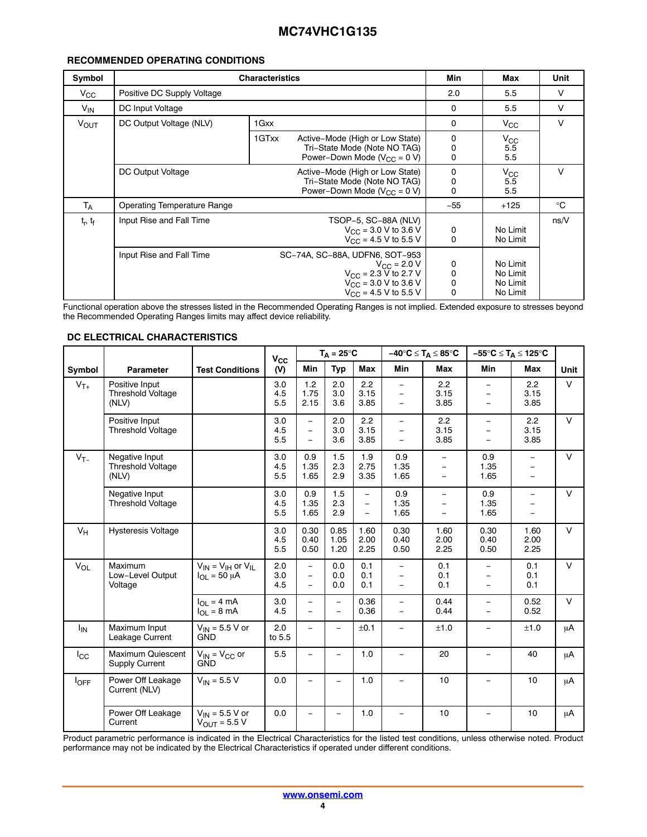#### **RECOMMENDED OPERATING CONDITIONS**

| Symbol           | <b>Characteristics</b>             | Min                                                                                                                                                     | Max                                  | Unit                                         |        |
|------------------|------------------------------------|---------------------------------------------------------------------------------------------------------------------------------------------------------|--------------------------------------|----------------------------------------------|--------|
| $V_{\rm CC}$     | Positive DC Supply Voltage         |                                                                                                                                                         |                                      | 5.5                                          | V      |
| $V_{IN}$         | DC Input Voltage                   | 0                                                                                                                                                       | 5.5                                  | $\vee$                                       |        |
| $V_{\text{OUT}}$ | DC Output Voltage (NLV)            | 1 Gxx                                                                                                                                                   | 0                                    | $V_{\rm CC}$                                 | $\vee$ |
|                  |                                    | 1GTxx<br>Active-Mode (High or Low State)<br>Tri-State Mode (Note NO TAG)<br>Power-Down Mode ( $V_{CC}$ = 0 V)                                           | 0<br>0<br>$\mathbf 0$                | $V_{\rm CC}$<br>5.5<br>5.5                   |        |
|                  | DC Output Voltage                  | Active-Mode (High or Low State)<br>Tri-State Mode (Note NO TAG)<br>Power-Down Mode ( $V_{CC}$ = 0 V)                                                    | 0<br>0<br>$\Omega$                   | $V_{\rm CC}$<br>5.5<br>5.5                   | v      |
| <b>TA</b>        | <b>Operating Temperature Range</b> |                                                                                                                                                         |                                      |                                              | °C     |
| $t_r$ , $t_f$    | Input Rise and Fall Time           | TSOP-5, SC-88A (NLV)<br>$V_{\text{CC}}$ = 3.0 V to 3.6 V<br>$V_{\text{CC}}$ = 4.5 V to 5.5 V                                                            | 0<br>$\mathbf 0$                     | No Limit<br>No Limit                         | ns/V   |
|                  | Input Rise and Fall Time           | SC-74A, SC-88A, UDFN6, SOT-953<br>$V_{\text{CC}} = 2.0 V$<br>$V_{\text{CC}}$ = 2.3 V to 2.7 V<br>$V_{CC}$ = 3.0 V to 3.6 V<br>$V_{CC}$ = 4.5 V to 5.5 V | 0<br>0<br>$\mathbf 0$<br>$\mathbf 0$ | No Limit<br>No Limit<br>No Limit<br>No Limit |        |

Functional operation above the stresses listed in the Recommended Operating Ranges is not implied. Extended exposure to stresses beyond the Recommended Operating Ranges limits may affect device reliability.

|  | DC ELECTRICAL CHARACTERISTICS |
|--|-------------------------------|
|  |                               |

|              |                                                     |                                                   | $V_{\rm CC}$      |                                       | $T_A = 25^{\circ}C$  |                      |                                                           | $-40^{\circ}C \leq T_A \leq 85^{\circ}C$                                         |                                                                       | $-55^{\circ}C \leq T_A \leq 125^{\circ}C$                        |             |
|--------------|-----------------------------------------------------|---------------------------------------------------|-------------------|---------------------------------------|----------------------|----------------------|-----------------------------------------------------------|----------------------------------------------------------------------------------|-----------------------------------------------------------------------|------------------------------------------------------------------|-------------|
| Symbol       | <b>Parameter</b>                                    | <b>Test Conditions</b>                            | (V)               | <b>Min</b>                            | Typ                  | Max                  | <b>Min</b>                                                | Max                                                                              | <b>Min</b>                                                            | <b>Max</b>                                                       | <b>Unit</b> |
| $V_{T+}$     | Positive Input<br><b>Threshold Voltage</b><br>(NLV) |                                                   | 3.0<br>4.5<br>5.5 | 1.2<br>1.75<br>2.15                   | 2.0<br>3.0<br>3.6    | 2.2<br>3.15<br>3.85  | $\equiv$<br>$\equiv$<br>$\qquad \qquad -$                 | 2.2<br>3.15<br>3.85                                                              | $\equiv$<br>$\equiv$<br>$\equiv$                                      | 2.2<br>3.15<br>3.85                                              | $\vee$      |
|              | Positive Input<br><b>Threshold Voltage</b>          |                                                   | 3.0<br>4.5<br>5.5 | $\frac{1}{2}$<br>$\equiv$<br>$\equiv$ | 2.0<br>3.0<br>3.6    | 2.2<br>3.15<br>3.85  | $\qquad \qquad -$<br>$\overline{\phantom{m}}$<br>$\equiv$ | 2.2<br>3.15<br>3.85                                                              | $\equiv$<br>$\overline{\phantom{0}}$<br>$\equiv$                      | 2.2<br>3.15<br>3.85                                              | $\vee$      |
| $V_{T-}$     | Negative Input<br><b>Threshold Voltage</b><br>(NLV) |                                                   | 3.0<br>4.5<br>5.5 | 0.9<br>1.35<br>1.65                   | 1.5<br>2.3<br>2.9    | 1.9<br>2.75<br>3.35  | 0.9<br>1.35<br>1.65                                       | $\equiv$<br>$\qquad \qquad =$<br>$\qquad \qquad -$                               | 0.9<br>1.35<br>1.65                                                   | $\equiv$<br>$\overline{\phantom{m}}$<br>$\overline{\phantom{m}}$ | $\vee$      |
|              | Negative Input<br><b>Threshold Voltage</b>          |                                                   | 3.0<br>4.5<br>5.5 | 0.9<br>1.35<br>1.65                   | 1.5<br>2.3<br>2.9    | $\equiv$<br>$\equiv$ | 0.9<br>1.35<br>1.65                                       | $\overline{\phantom{0}}$<br>$\overline{\phantom{0}}$<br>$\overline{\phantom{0}}$ | 0.9<br>1.35<br>1.65                                                   | $\equiv$<br>$\overline{\phantom{m}}$<br>$\equiv$                 | $\vee$      |
| $V_H$        | <b>Hysteresis Voltage</b>                           |                                                   | 3.0<br>4.5<br>5.5 | 0.30<br>0.40<br>0.50                  | 0.85<br>1.05<br>1.20 | 1.60<br>2.00<br>2.25 | 0.30<br>0.40<br>0.50                                      | 1.60<br>2.00<br>2.25                                                             | 0.30<br>0.40<br>0.50                                                  | 1.60<br>2.00<br>2.25                                             | $\vee$      |
| $V_{OL}$     | Maximum<br>Low-Level Output<br>Voltage              | $V_{IN} = V_{IH}$ or $V_{IL}$<br>$I_{OL}$ = 50 µA | 2.0<br>3.0<br>4.5 | $\equiv$<br>$\equiv$<br>$\equiv$      | 0.0<br>0.0<br>0.0    | 0.1<br>0.1<br>0.1    | $\equiv$<br>$\equiv$<br>$\overline{\phantom{m}}$          | 0.1<br>0.1<br>0.1                                                                | $\overline{\phantom{0}}$<br>$\overline{\phantom{m}}$<br>$\frac{1}{2}$ | 0.1<br>0.1<br>0.1                                                | $\vee$      |
|              |                                                     | $I_{OL} = 4 mA$<br>$I_{OL}$ = 8 mA                | 3.0<br>4.5        | $\equiv$<br>$\equiv$                  | $\equiv$<br>$\equiv$ | 0.36<br>0.36         | $\equiv$<br>$\qquad \qquad -$                             | 0.44<br>0.44                                                                     | $\equiv$<br>$\equiv$                                                  | 0.52<br>0.52                                                     | $\vee$      |
| $I_{IN}$     | Maximum Input<br>Leakage Current                    | $V_{IN}$ = 5.5 V or<br><b>GND</b>                 | 2.0<br>to 5.5     | $\equiv$                              | $\equiv$             | ±0.1                 | $\equiv$                                                  | ±1.0                                                                             | $\equiv$                                                              | ±1.0                                                             | μA          |
| $I_{\rm CC}$ | <b>Maximum Quiescent</b><br><b>Supply Current</b>   | $V_{IN}$ = $V_{CC}$ or<br><b>GND</b>              | 5.5               |                                       |                      | 1.0                  | $\equiv$                                                  | 20                                                                               |                                                                       | 40                                                               | μA          |
| $I_{OFF}$    | Power Off Leakage<br>Current (NLV)                  | $V_{IN}$ = 5.5 V                                  | 0.0               |                                       |                      | 1.0                  |                                                           | 10                                                                               |                                                                       | 10                                                               | $\mu$ A     |
|              | Power Off Leakage<br>Current                        | $V_{IN}$ = 5.5 V or<br>$V_{\text{OUT}} = 5.5 V$   | 0.0               | $=$                                   | -                    | 1.0                  | $\equiv$                                                  | 10                                                                               |                                                                       | 10                                                               | μA          |

Product parametric performance is indicated in the Electrical Characteristics for the listed test conditions, unless otherwise noted. Product performance may not be indicated by the Electrical Characteristics if operated under different conditions.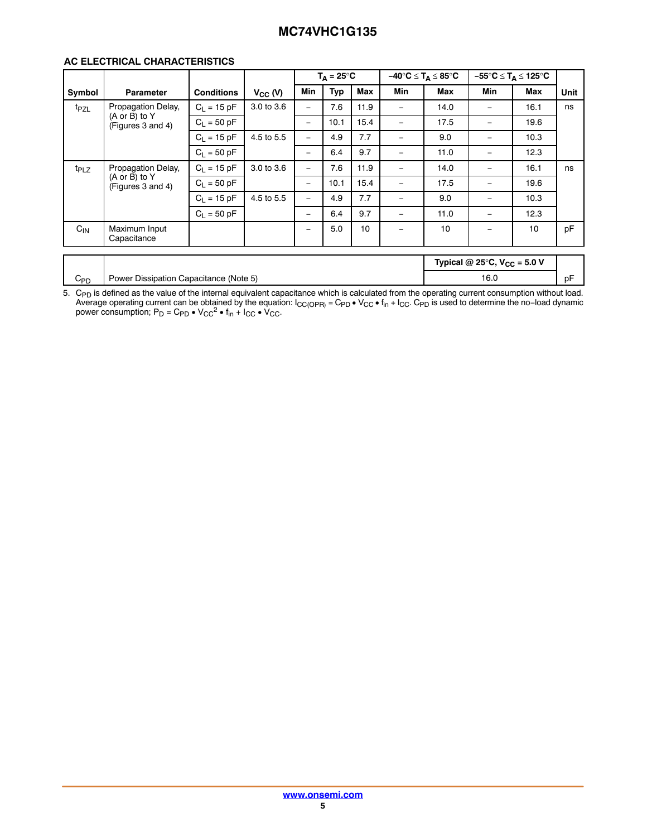#### **AC ELECTRICAL CHARACTERISTICS**

| <b>Typ</b><br>Min<br>Max<br>Min<br>Min<br>Max<br>Max<br>Unit<br>$V_{CC}$ (V)<br><b>Conditions</b><br>Symbol<br>Parameter<br>Propagation Delay,<br>$C_L = 15 pF$<br>3.0 to 3.6<br>7.6<br>11.9<br>16.1<br>14.0<br>ns<br>t <sub>PZL</sub><br>$\equiv$<br>$\equiv$<br>$\sim$<br>$(A \text{ or } B)$ to Y<br>$C_L = 50$ pF<br>15.4<br>10.1<br>17.5<br>19.6<br>$\overline{\phantom{a}}$<br>$\equiv$<br>$\overline{\phantom{a}}$<br>(Figures 3 and 4)<br>$C_L = 15 pF$<br>4.5 to 5.5<br>7.7<br>9.0<br>4.9<br>10.3<br>$\equiv$<br>$\equiv$<br>$\sim$<br>9.7<br>$C_1 = 50$ pF<br>12.3<br>6.4<br>11.0<br>$\overline{\phantom{a}}$<br>$\qquad \qquad -$<br>$\sim$<br>Propagation Delay,<br>$C_L = 15 pF$<br>3.0 to 3.6<br>7.6<br>11.9<br>16.1<br>14.0<br>t <sub>PLZ</sub><br>ns<br>$-$<br>$\overline{\phantom{a}}$<br>$\sim$<br>$(A \text{ or } B)$ to Y<br>$C_L = 50$ pF<br>15.4<br>10.1<br>17.5<br>19.6<br>$\equiv$<br>$\sim$<br>$\overline{\phantom{a}}$<br>(Figures 3 and 4)<br>7.7<br>$C_1 = 15 pF$<br>4.5 to 5.5<br>9.0<br>10.3<br>4.9<br>$\equiv$<br>$\overline{\phantom{a}}$<br>$\sim$ |
|-------------------------------------------------------------------------------------------------------------------------------------------------------------------------------------------------------------------------------------------------------------------------------------------------------------------------------------------------------------------------------------------------------------------------------------------------------------------------------------------------------------------------------------------------------------------------------------------------------------------------------------------------------------------------------------------------------------------------------------------------------------------------------------------------------------------------------------------------------------------------------------------------------------------------------------------------------------------------------------------------------------------------------------------------------------------------------------|
|                                                                                                                                                                                                                                                                                                                                                                                                                                                                                                                                                                                                                                                                                                                                                                                                                                                                                                                                                                                                                                                                                     |
|                                                                                                                                                                                                                                                                                                                                                                                                                                                                                                                                                                                                                                                                                                                                                                                                                                                                                                                                                                                                                                                                                     |
|                                                                                                                                                                                                                                                                                                                                                                                                                                                                                                                                                                                                                                                                                                                                                                                                                                                                                                                                                                                                                                                                                     |
|                                                                                                                                                                                                                                                                                                                                                                                                                                                                                                                                                                                                                                                                                                                                                                                                                                                                                                                                                                                                                                                                                     |
|                                                                                                                                                                                                                                                                                                                                                                                                                                                                                                                                                                                                                                                                                                                                                                                                                                                                                                                                                                                                                                                                                     |
|                                                                                                                                                                                                                                                                                                                                                                                                                                                                                                                                                                                                                                                                                                                                                                                                                                                                                                                                                                                                                                                                                     |
|                                                                                                                                                                                                                                                                                                                                                                                                                                                                                                                                                                                                                                                                                                                                                                                                                                                                                                                                                                                                                                                                                     |
|                                                                                                                                                                                                                                                                                                                                                                                                                                                                                                                                                                                                                                                                                                                                                                                                                                                                                                                                                                                                                                                                                     |
| $C_1 = 50$ pF<br>9.7<br>12.3<br>6.4<br>11.0<br>$\qquad \qquad -$<br>$\overline{\phantom{m}}$<br>$\overline{\phantom{0}}$                                                                                                                                                                                                                                                                                                                                                                                                                                                                                                                                                                                                                                                                                                                                                                                                                                                                                                                                                            |
| pF<br>$C_{\text{IN}}$<br>Maximum Input<br>5.0<br>10<br>10<br>10<br>$\qquad \qquad -$<br>$\overline{\phantom{0}}$<br>Capacitance                                                                                                                                                                                                                                                                                                                                                                                                                                                                                                                                                                                                                                                                                                                                                                                                                                                                                                                                                     |
| Typical @ 25°C, $V_{CC}$ = 5.0 V                                                                                                                                                                                                                                                                                                                                                                                                                                                                                                                                                                                                                                                                                                                                                                                                                                                                                                                                                                                                                                                    |

5. C<sub>PD</sub> is defined as the value of the internal equivalent capacitance which is calculated from the operating current consumption without load.<br>Average operating current can be obtained by the equation:  $I_{CC(OPR)} = C_{PD} \cdot V_{CC$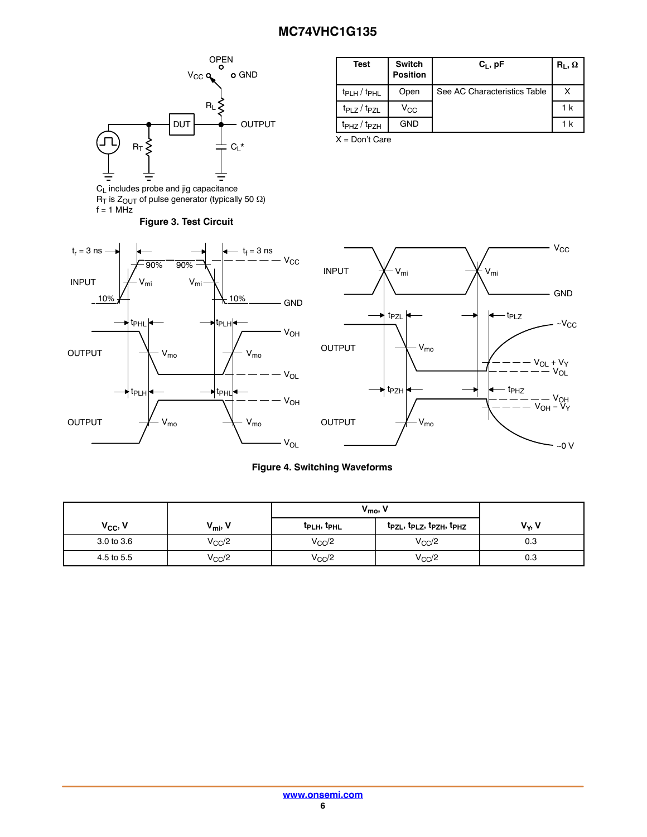<span id="page-5-0"></span>

 $R_{\text{I}}$  is  $Z_{\text{OUT}}$  of pulse generator (typically 50  $\Omega$ )

 $f = 1$  MHz

| Test                  | <b>Switch</b><br><b>Position</b> | $C_1$ , pF                   | $R_L, \Omega$ |
|-----------------------|----------------------------------|------------------------------|---------------|
| $t_{PLH}$ / $t_{PHL}$ | Open                             | See AC Characteristics Table |               |
| $t_{PLZ}/t_{PZL}$     | $V_{\rm CC}$                     |                              | 1 k           |
| $tpHZ$ $tpZH$         | <b>GND</b>                       |                              | 1 k           |

X = Don't Care





#### **Figure 4. Switching Waveforms**

|                     |                     | $V_{\text{mo}}$                     |                        |          |
|---------------------|---------------------|-------------------------------------|------------------------|----------|
| V <sub>cc</sub> , V | $V_{\text{mi}}$ , V | t <sub>PLH</sub> , t <sub>PHL</sub> | tpzL, tpLz, tpzH, tpHz | $V_Y, V$ |
| 3.0 to 3.6          | $V_{CC}/2$          | $V_{CC}/2$                          | $V_{CC}/2$             | 0.3      |
| 4.5 to 5.5          | $V_{\rm CC}$ /2     | $V_{CC}/2$                          | $V_{CC}/2$             | 0.3      |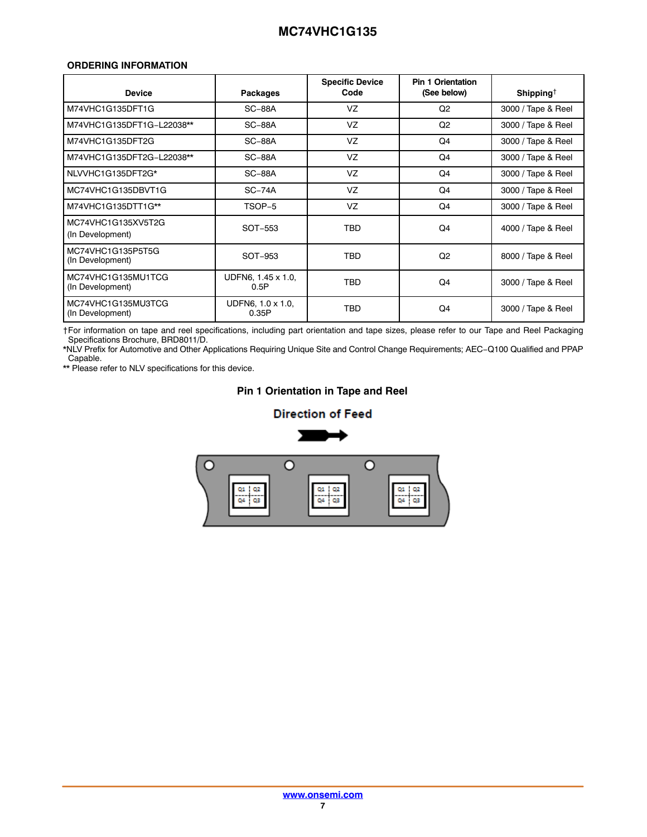#### <span id="page-6-0"></span>**ORDERING INFORMATION**

| <b>Device</b>                          | Packages                   | <b>Specific Device</b><br>Code | <b>Pin 1 Orientation</b><br>(See below) | Shipping <sup>†</sup> |
|----------------------------------------|----------------------------|--------------------------------|-----------------------------------------|-----------------------|
| M74VHC1G135DFT1G                       | $SC-88A$                   | VZ                             | Q <sub>2</sub>                          | 3000 / Tape & Reel    |
| M74VHC1G135DFT1G-L22038**              | $SC-88A$                   | VZ                             | Q2                                      | 3000 / Tape & Reel    |
| M74VHC1G135DFT2G                       | $SC-88A$                   | VZ                             | Q4                                      | 3000 / Tape & Reel    |
| M74VHC1G135DFT2G-L22038**              | $SC-88A$                   | VZ                             | Q4                                      | 3000 / Tape & Reel    |
| NLVVHC1G135DFT2G*                      | $SC-88A$                   | VZ                             | Q4                                      | 3000 / Tape & Reel    |
| MC74VHC1G135DBVT1G                     | $SC-74A$                   | VZ                             | Q4                                      | 3000 / Tape & Reel    |
| M74VHC1G135DTT1G**                     | TSOP-5                     | VZ                             | Q <sub>4</sub>                          | 3000 / Tape & Reel    |
| MC74VHC1G135XV5T2G<br>(In Development) | SOT-553                    | <b>TBD</b>                     | Q <sub>4</sub>                          | 4000 / Tape & Reel    |
| MC74VHC1G135P5T5G<br>(In Development)  | SOT-953                    | <b>TBD</b>                     | Q2                                      | 8000 / Tape & Reel    |
| MC74VHC1G135MU1TCG<br>(In Development) | UDFN6, 1.45 x 1.0,<br>0.5P | <b>TBD</b>                     | Q <sub>4</sub>                          | 3000 / Tape & Reel    |
| MC74VHC1G135MU3TCG<br>(In Development) | UDFN6, 1.0 x 1.0,<br>0.35P | <b>TBD</b>                     | Q4                                      | 3000 / Tape & Reel    |

†For information on tape and reel specifications, including part orientation and tape sizes, please refer to our Tape and Reel Packaging Specifications Brochure, BRD8011/D.

\*NLV Prefix for Automotive and Other Applications Requiring Unique Site and Control Change Requirements; AEC−Q100 Qualified and PPAP Capable.

\*\* Please refer to NLV specifications for this device.

#### **Pin 1 Orientation in Tape and Reel**

#### **Direction of Feed**

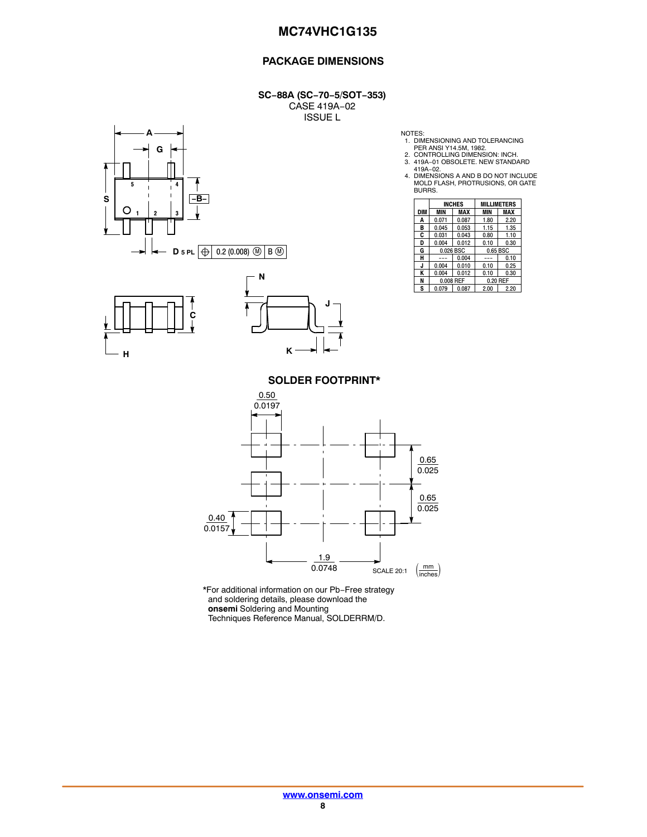#### **PACKAGE DIMENSIONS**

**SC−88A (SC−70−5/SOT−353)** CASE 419A−02 ISSUE L







NOTES: 1. DIMENSIONING AND TOLERANCING PER ANSI Y14.5M, 1982. 2. CONTROLLING DIMENSION: INCH.

3. 419A−01 OBSOLETE. NEW STANDARD

419A−02. 4. DIMENSIONS A AND B DO NOT INCLUDE MOLD FLASH, PROTRUSIONS, OR GATE BURRS.

|     | <b>INCHES</b> |       | <b>MILLIMETERS</b> |      |  |
|-----|---------------|-------|--------------------|------|--|
| DIM | MIN           | MAX   | MIN                | MAX  |  |
| Α   | 0.071         | 0.087 | 1.80               | 2.20 |  |
| в   | 0.045         | 0.053 | 1.15               | 1.35 |  |
| C   | 0.031         | 0.043 | 0.80               | 1.10 |  |
| D   | 0.004         | 0.012 | 0.10               | 0.30 |  |
| G   | 0.026 BSC     |       | 0.65 BSC           |      |  |
| н   |               | 0.004 |                    | 0.10 |  |
| J.  | 0.004         | 0.010 | 0.10               | 0.25 |  |
| ĸ   | 0.004         | 0.012 | 0.10               | 0.30 |  |
| N   | 0.008 REF     |       | 0.20 REF           |      |  |
| S   | 0.079         | 0.087 | 2.00               | 2.20 |  |

**SOLDER FOOTPRINT\***



\*For additional information on our Pb−Free strategy and soldering details, please download the **onsemi** Soldering and Mounting Techniques Reference Manual, SOLDERRM/D.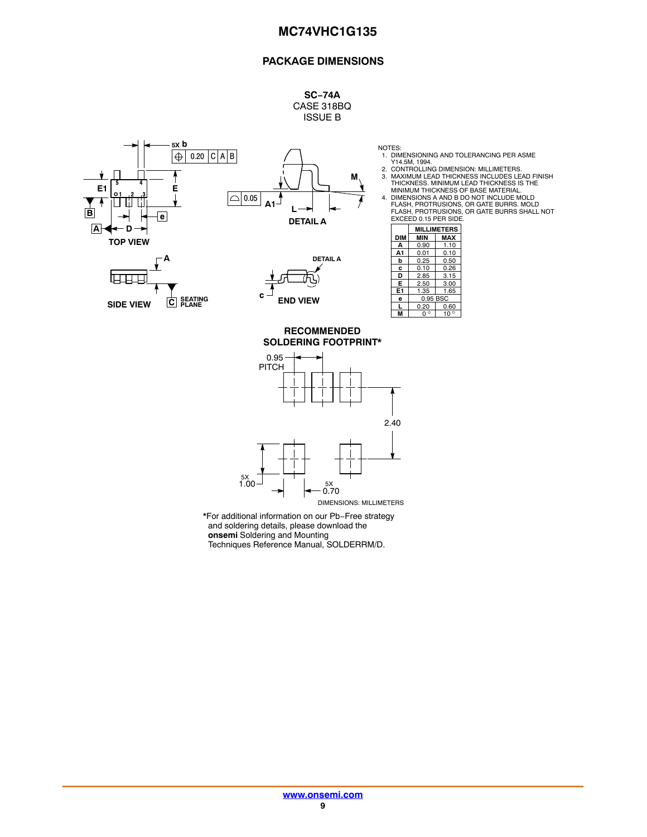#### **PACKAGE DIMENSIONS**

#### **SC−74A** CASE 318BQ ISSUE B

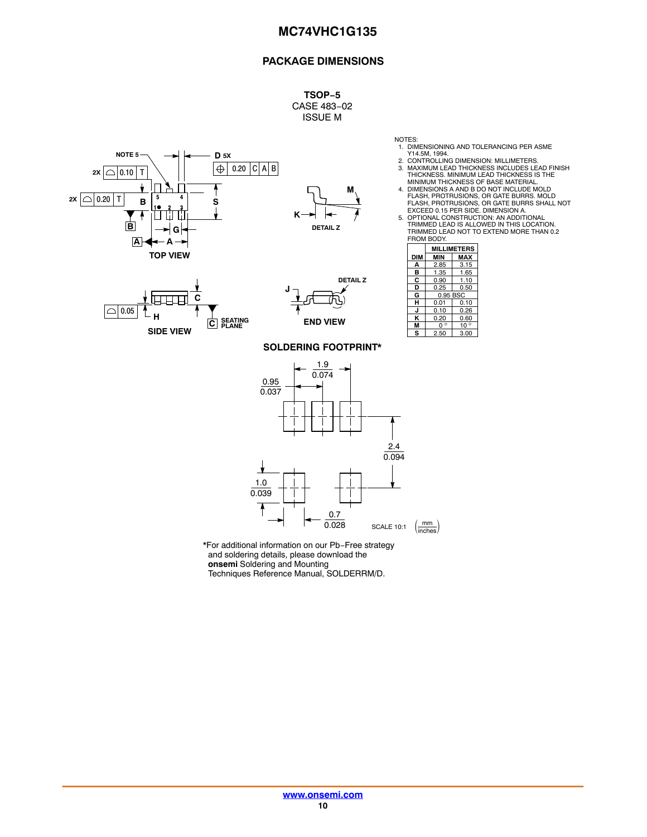#### **PACKAGE DIMENSIONS**

**TSOP−5** CASE 483−02 ISSUE M





**DETAIL Z**

- 
- NOTES:<br>1. DIMENSIONING AND TOLERANCING PER ASME<br>2. CONTROLLING DIMENSION: MILLIMETERS.<br>3. MAXIMUM LEAD THICKNESS INCLUDES LEAD FINISH<br>THICKNESS. MINIMUM THICKNESS OF BASE MATERIAL.<br>MINIMUM THICKNESS OF BASE MATERIAL.
- 4. DIMENSIONS A AND B DO NOT INCLUDE MOLD FLASH, PROTRUSIONS, OR GATE BURRS. MOLD FLASH, PROTRUSIONS, OR GATE BURRS SHALL NOT EXCEED 0.15 PER SIDE. DIMENSION A.
- 5. OPTIONAL CONSTRUCTION: AN ADDITIONAL TRIMMED LEAD IS ALLOWED IN THIS LOCATION. TRIMMED LEAD NOT TO EXTEND MORE THAN 0.2 FROM BODY.

|            | <b>MILLIMETERS</b> |              |  |
|------------|--------------------|--------------|--|
| <b>DIM</b> | MIN                | MAX          |  |
| А          | 2.85               | 3.15         |  |
| в          | 1.35               | 1.65         |  |
| С          | 0.90               | 1.10         |  |
| D          | 0.25               | 0.50         |  |
| G          | 0.95 BSC           |              |  |
| н          | 0.01<br>0.10       |              |  |
| J          | 0.10               | 0.26         |  |
| κ          | 0.20               | 0.60         |  |
| м          | n °                | $10^{\circ}$ |  |
| s          | 2.50               | 3.00         |  |



**TOP VIEW**

#### **SOLDERING FOOTPRINT\***

**END VIEW**

**J**



\*For additional information on our Pb−Free strategy and soldering details, please download the **onsemi** Soldering and Mounting

Techniques Reference Manual, SOLDERRM/D.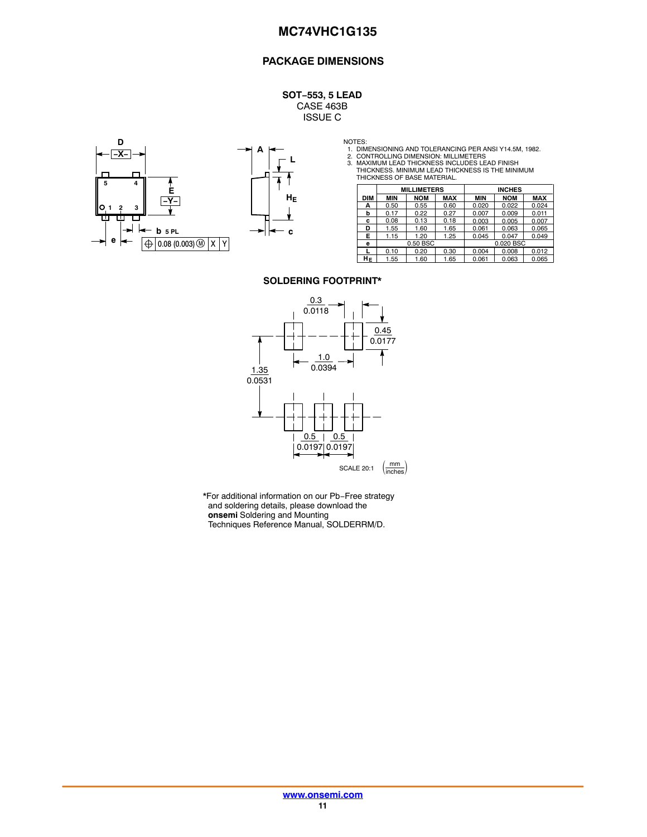#### **PACKAGE DIMENSIONS**

**SOT−553, 5 LEAD** CASE 463B ISSUE C





NOTES:<br>1. DIMENSIONING AND TOLERANCING PER ANSI Y14.5M, 1982.<br>2. CONTROLLING DIMENSION: MILLIMETERS<br>3. MAXIMUM LEAD THICKNESS INCLUDES LEAD FINISH<br>THICKNESS. MINIMUM LEAD THICKNESS IS THE MINIMUM<br>THICKNESS OF BASE MATERIAL

|            | <b>MILLIMETERS</b> |            |            | <b>INCHES</b> |            |            |
|------------|--------------------|------------|------------|---------------|------------|------------|
| <b>DIM</b> | <b>MIN</b>         | <b>NOM</b> | <b>MAX</b> | <b>MIN</b>    | <b>NOM</b> | <b>MAX</b> |
| А          | 0.50               | 0.55       | 0.60       | 0.020         | 0.022      | 0.024      |
| b          | 0.17               | 0.22       | 0.27       | 0.007         | 0.009      | 0.011      |
| c          | 0.08               | 0.13       | 0.18       | 0.003         | 0.005      | 0.007      |
| D          | 1.55               | 1.60       | 1.65       | 0.061         | 0.063      | 0.065      |
| E.         | 1.15               | 1.20       | 1.25       | 0.045         | 0.047      | 0.049      |
| е          |                    | 0.50 BSC   |            |               | 0.020 BSC  |            |
|            | 0.10               | 0.20       | 0.30       | 0.004         | 0.008      | 0.012      |
| HΕ         | 1.55               | 1.60       | 1.65       | 0.061         | 0.063      | 0.065      |

#### **SOLDERING FOOTPRINT\***



\*For additional information on our Pb−Free strategy and soldering details, please download the **onsemi** Soldering and Mounting Techniques Reference Manual, SOLDERRM/D.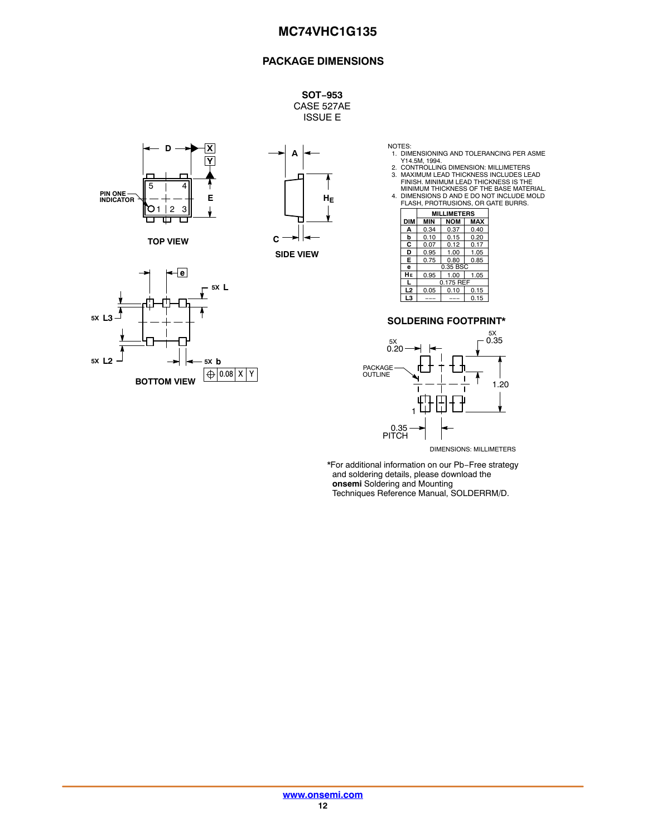#### **PACKAGE DIMENSIONS**

**SOT−953** CASE 527AE ISSUE E



**TOP VIEW**





- 
- 
- NOTES:<br>
1. DIMENSIONING AND TOLERANCING PER ASME<br>
2. CONTROLLING DIMENSION: MILLIMETERS<br>
2. CONTROLLING DIMENSION: MILLIMETERS<br>
3. MAXIMUM LEAD THICKNESS INCLUDES LEAD<br>
FINISH. MINIMUM LEAD THICKNESS IS THE<br>
MINIMUM THICKN

|            | <b>MILLIMETERS</b> |            |      |
|------------|--------------------|------------|------|
| <b>DIM</b> | <b>MIN</b>         | <b>NOM</b> | MAX  |
| Δ          | 0.34               | 0.37       | 0.40 |
| b          | 0.10               | 0.15       | 0.20 |
| С          | 0.07               | 0.12       | 0.17 |
| D          | 0.95               | 1.00       | 1.05 |
| E          | 0.75               | 0.80       | 0.85 |
| e          | 0.35 BSC           |            |      |
| HЕ         | 0.95               | 1.00       | 1.05 |
|            | 0.175 REF          |            |      |
| L2         | 0.05               | 0.10       | 0.15 |
| LЗ         |                    |            | 0.15 |

#### **SOLDERING FOOTPRINT\***



DIMENSIONS: MILLIMETERS

\*For additional information on our Pb−Free strategy and soldering details, please download the **onsemi** Soldering and Mounting Techniques Reference Manual, SOLDERRM/D.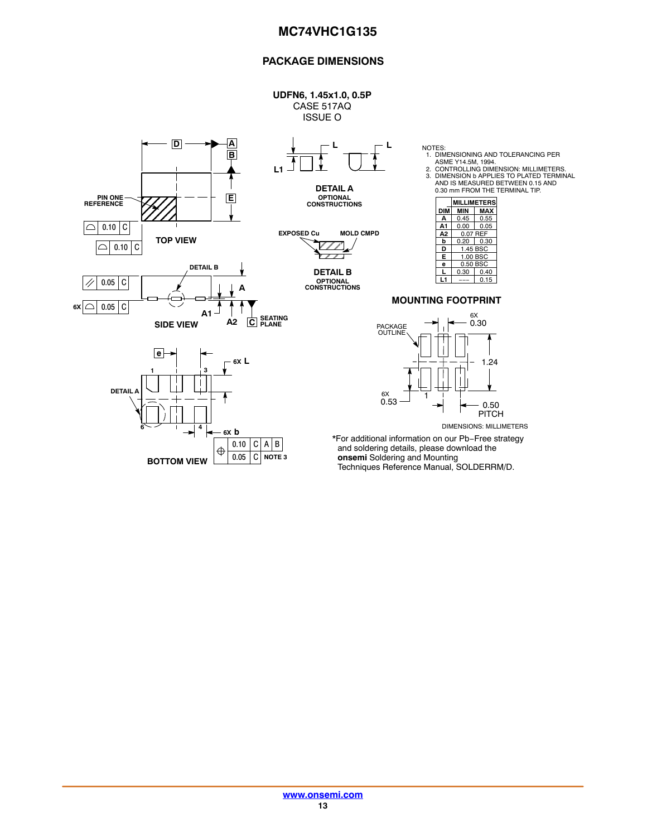#### **PACKAGE DIMENSIONS**